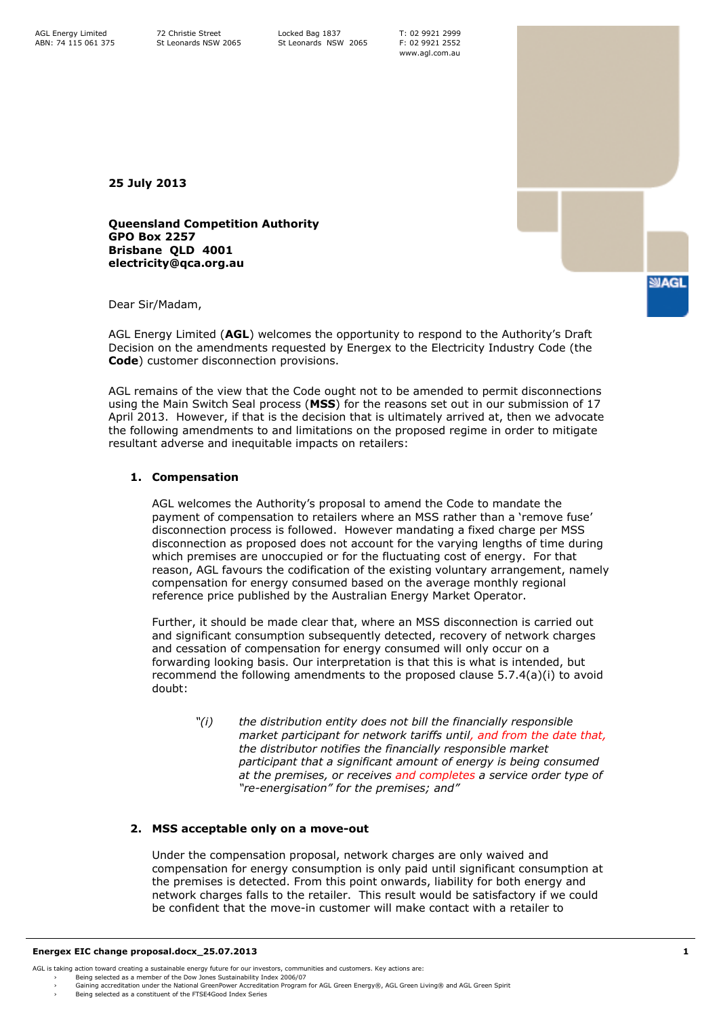T: 02 9921 2999 F: 02 9921 2552 www.agl.com.au

**25 July 2013**

**Queensland Competition Authority GPO Box 2257 Brisbane QLD 4001 electricity@qca.org.au**

Dear Sir/Madam,

AGL Energy Limited (**AGL**) welcomes the opportunity to respond to the Authority's Draft Decision on the amendments requested by Energex to the Electricity Industry Code (the **Code**) customer disconnection provisions.

AGL remains of the view that the Code ought not to be amended to permit disconnections using the Main Switch Seal process (**MSS**) for the reasons set out in our submission of 17 April 2013. However, if that is the decision that is ultimately arrived at, then we advocate the following amendments to and limitations on the proposed regime in order to mitigate resultant adverse and inequitable impacts on retailers:

## **1. Compensation**

AGL welcomes the Authority's proposal to amend the Code to mandate the payment of compensation to retailers where an MSS rather than a 'remove fuse' disconnection process is followed. However mandating a fixed charge per MSS disconnection as proposed does not account for the varying lengths of time during which premises are unoccupied or for the fluctuating cost of energy. For that reason, AGL favours the codification of the existing voluntary arrangement, namely compensation for energy consumed based on the average monthly regional reference price published by the Australian Energy Market Operator.

Further, it should be made clear that, where an MSS disconnection is carried out and significant consumption subsequently detected, recovery of network charges and cessation of compensation for energy consumed will only occur on a forwarding looking basis. Our interpretation is that this is what is intended, but recommend the following amendments to the proposed clause 5.7.4(a)(i) to avoid doubt:

*"(i) the distribution entity does not bill the financially responsible market participant for network tariffs until, and from the date that, the distributor notifies the financially responsible market participant that a significant amount of energy is being consumed at the premises, or receives and completes a service order type of "re-energisation" for the premises; and"*

## **2. MSS acceptable only on a move-out**

Under the compensation proposal, network charges are only waived and compensation for energy consumption is only paid until significant consumption at the premises is detected. From this point onwards, liability for both energy and network charges falls to the retailer. This result would be satisfactory if we could be confident that the move-in customer will make contact with a retailer to

**SAGL** 

<sup>›</sup> Being selected as a member of the Dow Jones Sustainability Index 2006/07<br>› Gaining accreditation under the National GreenPower Accreditation Program for AGL Green Energy®, AGL Green Iving® and AGL Green S